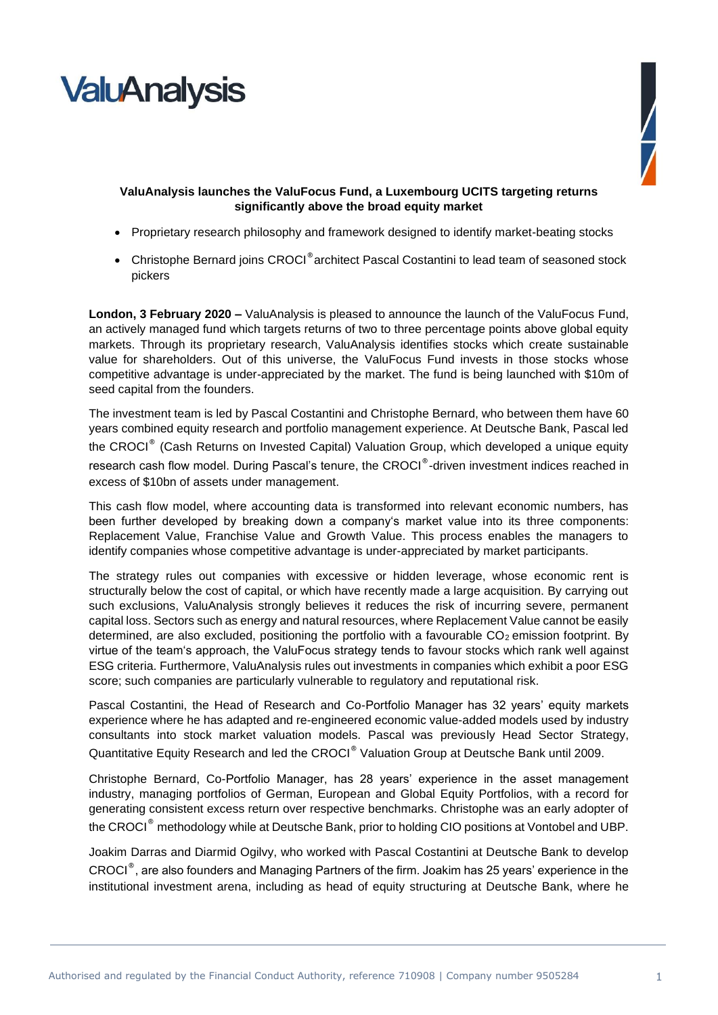



## **ValuAnalysis launches the ValuFocus Fund, a Luxembourg UCITS targeting returns significantly above the broad equity market**

- Proprietary research philosophy and framework designed to identify market-beating stocks
- Christophe Bernard joins CROCI® architect Pascal Costantini to lead team of seasoned stock pickers

**London, 3 February 2020 –** ValuAnalysis is pleased to announce the launch of the ValuFocus Fund, an actively managed fund which targets returns of two to three percentage points above global equity markets. Through its proprietary research, ValuAnalysis identifies stocks which create sustainable value for shareholders. Out of this universe, the ValuFocus Fund invests in those stocks whose competitive advantage is under-appreciated by the market. The fund is being launched with \$10m of seed capital from the founders.

The investment team is led by Pascal Costantini and Christophe Bernard, who between them have 60 years combined equity research and portfolio management experience. At Deutsche Bank, Pascal led the CROCI® (Cash Returns on Invested Capital) Valuation Group, which developed a unique equity research cash flow model. During Pascal's tenure, the CROCI®-driven investment indices reached in excess of \$10bn of assets under management.

This cash flow model, where accounting data is transformed into relevant economic numbers, has been further developed by breaking down a company's market value into its three components: Replacement Value, Franchise Value and Growth Value. This process enables the managers to identify companies whose competitive advantage is under-appreciated by market participants.

The strategy rules out companies with excessive or hidden leverage, whose economic rent is structurally below the cost of capital, or which have recently made a large acquisition. By carrying out such exclusions, ValuAnalysis strongly believes it reduces the risk of incurring severe, permanent capital loss. Sectors such as energy and natural resources, where Replacement Value cannot be easily determined, are also excluded, positioning the portfolio with a favourable  $CO<sub>2</sub>$  emission footprint. By virtue of the team's approach, the ValuFocus strategy tends to favour stocks which rank well against ESG criteria. Furthermore, ValuAnalysis rules out investments in companies which exhibit a poor ESG score; such companies are particularly vulnerable to regulatory and reputational risk.

Pascal Costantini, the Head of Research and Co-Portfolio Manager has 32 years' equity markets experience where he has adapted and re-engineered economic value-added models used by industry consultants into stock market valuation models. Pascal was previously Head Sector Strategy, Quantitative Equity Research and led the CROCI® Valuation Group at Deutsche Bank until 2009.

Christophe Bernard, Co-Portfolio Manager, has 28 years' experience in the asset management industry, managing portfolios of German, European and Global Equity Portfolios, with a record for generating consistent excess return over respective benchmarks. Christophe was an early adopter of the CROCI® methodology while at Deutsche Bank, prior to holding CIO positions at Vontobel and UBP.

Joakim Darras and Diarmid Ogilvy, who worked with Pascal Costantini at Deutsche Bank to develop CROCI®, are also founders and Managing Partners of the firm. Joakim has 25 years' experience in the institutional investment arena, including as head of equity structuring at Deutsche Bank, where he